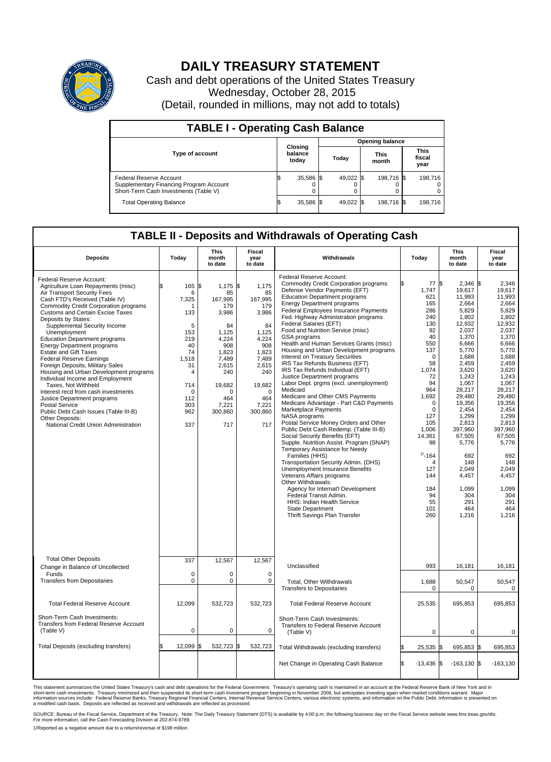

## **DAILY TREASURY STATEMENT**

Cash and debt operations of the United States Treasury Wednesday, October 28, 2015 (Detail, rounded in millions, may not add to totals)

| <b>TABLE I - Operating Cash Balance</b>                                                                     |                             |           |       |                        |                      |            |                               |         |  |  |  |
|-------------------------------------------------------------------------------------------------------------|-----------------------------|-----------|-------|------------------------|----------------------|------------|-------------------------------|---------|--|--|--|
|                                                                                                             |                             |           |       | <b>Opening balance</b> |                      |            |                               |         |  |  |  |
| <b>Type of account</b>                                                                                      | Closing<br>balance<br>today |           | Todav |                        | <b>This</b><br>month |            | <b>This</b><br>fiscal<br>year |         |  |  |  |
| Federal Reserve Account<br>Supplementary Financing Program Account<br>Short-Term Cash Investments (Table V) |                             | 35,586 \$ |       | 49,022 \$              |                      | 198.716 \$ |                               | 198.716 |  |  |  |
| <b>Total Operating Balance</b>                                                                              |                             | 35,586 \$ |       | 49,022 \$              |                      | 198,716 \$ |                               | 198,716 |  |  |  |

## **TABLE II - Deposits and Withdrawals of Operating Cash**

| <b>Deposits</b>                                                                                                                                                                                                                                                                                                                                                                                                                                                                                                                                                                                                                                                                                                                                                                        | Today                                                                                                                            | <b>This</b><br>month<br>to date                                                                                                                                            | <b>Fiscal</b><br>year<br>to date                                                                                                                                | Withdrawals                                                                                                                                                                                                                                                                                                                                                                                                                                                                                                                                                                                                                                                                                                                                                                                                                                                                                                                                                                                                                                                                                                                                                                                                                                                                      | Today                                                                                                                                                                                                                                                                    | <b>This</b><br>month<br>to date                                                                                                                                                                                                                                                                                    | <b>Fiscal</b><br>year<br>to date                                                                                                                                                                                                                                                                              |
|----------------------------------------------------------------------------------------------------------------------------------------------------------------------------------------------------------------------------------------------------------------------------------------------------------------------------------------------------------------------------------------------------------------------------------------------------------------------------------------------------------------------------------------------------------------------------------------------------------------------------------------------------------------------------------------------------------------------------------------------------------------------------------------|----------------------------------------------------------------------------------------------------------------------------------|----------------------------------------------------------------------------------------------------------------------------------------------------------------------------|-----------------------------------------------------------------------------------------------------------------------------------------------------------------|----------------------------------------------------------------------------------------------------------------------------------------------------------------------------------------------------------------------------------------------------------------------------------------------------------------------------------------------------------------------------------------------------------------------------------------------------------------------------------------------------------------------------------------------------------------------------------------------------------------------------------------------------------------------------------------------------------------------------------------------------------------------------------------------------------------------------------------------------------------------------------------------------------------------------------------------------------------------------------------------------------------------------------------------------------------------------------------------------------------------------------------------------------------------------------------------------------------------------------------------------------------------------------|--------------------------------------------------------------------------------------------------------------------------------------------------------------------------------------------------------------------------------------------------------------------------|--------------------------------------------------------------------------------------------------------------------------------------------------------------------------------------------------------------------------------------------------------------------------------------------------------------------|---------------------------------------------------------------------------------------------------------------------------------------------------------------------------------------------------------------------------------------------------------------------------------------------------------------|
| Federal Reserve Account:<br>Agriculture Loan Repayments (misc)<br>Air Transport Security Fees<br>Cash FTD's Received (Table IV)<br><b>Commodity Credit Corporation programs</b><br>Customs and Certain Excise Taxes<br>Deposits by States:<br>Supplemental Security Income<br>Unemployment<br><b>Education Department programs</b><br><b>Energy Department programs</b><br><b>Estate and Gift Taxes</b><br><b>Federal Reserve Earnings</b><br>Foreign Deposits, Military Sales<br>Housing and Urban Development programs<br>Individual Income and Employment<br>Taxes, Not Withheld<br>Interest recd from cash investments<br>Justice Department programs<br><b>Postal Service</b><br>Public Debt Cash Issues (Table III-B)<br>Other Deposits:<br>National Credit Union Administration | 165<br>6<br>7,325<br>-1<br>133<br>5<br>153<br>219<br>40<br>74<br>1,518<br>31<br>4<br>714<br>$\Omega$<br>112<br>303<br>962<br>337 | $1,175$ \$<br>\$<br>85<br>167,995<br>179<br>3,986<br>84<br>1,125<br>4,224<br>908<br>1.823<br>7,489<br>2,615<br>240<br>19,682<br>$\Omega$<br>464<br>7,221<br>300,860<br>717 | 1,175<br>85<br>167,995<br>179<br>3,986<br>84<br>1,125<br>4,224<br>908<br>1.823<br>7,489<br>2,615<br>240<br>19,682<br>$\Omega$<br>464<br>7,221<br>300,860<br>717 | Federal Reserve Account:<br><b>Commodity Credit Corporation programs</b><br>Defense Vendor Payments (EFT)<br><b>Education Department programs</b><br><b>Energy Department programs</b><br><b>Federal Employees Insurance Payments</b><br>Fed. Highway Administration programs<br>Federal Salaries (EFT)<br>Food and Nutrition Service (misc)<br>GSA programs<br>Health and Human Services Grants (misc)<br>Housing and Urban Development programs<br>Interest on Treasury Securities<br>IRS Tax Refunds Business (EFT)<br>IRS Tax Refunds Individual (EFT)<br>Justice Department programs<br>Labor Dept. prgms (excl. unemployment)<br>Medicaid<br>Medicare and Other CMS Payments<br>Medicare Advantage - Part C&D Payments<br>Marketplace Payments<br>NASA programs<br>Postal Service Money Orders and Other<br>Public Debt Cash Redemp. (Table III-B)<br>Social Security Benefits (EFT)<br>Supple. Nutrition Assist. Program (SNAP)<br>Temporary Assistance for Needy<br>Families (HHS)<br>Transportation Security Admin. (DHS)<br>Unemployment Insurance Benefits<br>Veterans Affairs programs<br>Other Withdrawals:<br>Agency for Internat'l Development<br>Federal Transit Admin.<br>HHS: Indian Health Service<br><b>State Department</b><br>Thrift Savings Plan Transfer | 77 S<br>1,747<br>621<br>165<br>286<br>240<br>130<br>92<br>40<br>550<br>137<br>$\Omega$<br>58<br>1,074<br>72<br>94<br>964<br>1,692<br>$\mathbf 0$<br>$\mathbf 0$<br>127<br>105<br>1,006<br>14,361<br>98<br>$1/ - 164$<br>4<br>127<br>144<br>184<br>94<br>55<br>101<br>260 | $2,346$ \$<br>19,617<br>11,993<br>2,664<br>5.829<br>1,802<br>12,932<br>2,037<br>1,370<br>6,666<br>5,770<br>1,688<br>2,459<br>3,620<br>1,243<br>1,067<br>28,217<br>29,480<br>19.356<br>2,454<br>1,299<br>2,813<br>397,960<br>67,505<br>5,776<br>692<br>148<br>2,049<br>4,457<br>1,099<br>304<br>291<br>464<br>1,216 | 2.346<br>19,617<br>11.993<br>2,664<br>5.829<br>1,802<br>12,932<br>2,037<br>1.370<br>6,666<br>5,770<br>1,688<br>2,459<br>3,620<br>1,243<br>1,067<br>28,217<br>29.480<br>19.356<br>2,454<br>1.299<br>2,813<br>397,960<br>67,505<br>5,776<br>692<br>148<br>2,049<br>4,457<br>1.099<br>304<br>291<br>464<br>1,216 |
| <b>Total Other Deposits</b><br>Change in Balance of Uncollected<br>Funds<br><b>Transfers from Depositaries</b>                                                                                                                                                                                                                                                                                                                                                                                                                                                                                                                                                                                                                                                                         | 337<br>$\mathbf 0$<br>$\mathbf 0$                                                                                                | 12,567<br>0<br>0                                                                                                                                                           | 12,567<br>$\mathbf 0$<br>$\mathbf 0$                                                                                                                            | Unclassified<br><b>Total, Other Withdrawals</b>                                                                                                                                                                                                                                                                                                                                                                                                                                                                                                                                                                                                                                                                                                                                                                                                                                                                                                                                                                                                                                                                                                                                                                                                                                  | 993<br>1,688                                                                                                                                                                                                                                                             | 16,181<br>50,547                                                                                                                                                                                                                                                                                                   | 16,181<br>50,547                                                                                                                                                                                                                                                                                              |
| <b>Total Federal Reserve Account</b>                                                                                                                                                                                                                                                                                                                                                                                                                                                                                                                                                                                                                                                                                                                                                   | 12.099                                                                                                                           | 532,723                                                                                                                                                                    | 532.723                                                                                                                                                         | <b>Transfers to Depositaries</b><br><b>Total Federal Reserve Account</b>                                                                                                                                                                                                                                                                                                                                                                                                                                                                                                                                                                                                                                                                                                                                                                                                                                                                                                                                                                                                                                                                                                                                                                                                         | 0<br>25,535                                                                                                                                                                                                                                                              | $\Omega$<br>695.853                                                                                                                                                                                                                                                                                                | 0<br>695.853                                                                                                                                                                                                                                                                                                  |
| Short-Term Cash Investments:<br><b>Transfers from Federal Reserve Account</b><br>(Table V)                                                                                                                                                                                                                                                                                                                                                                                                                                                                                                                                                                                                                                                                                             | $\pmb{0}$                                                                                                                        | 0                                                                                                                                                                          | 0                                                                                                                                                               | Short-Term Cash Investments:<br>Transfers to Federal Reserve Account<br>(Table V)                                                                                                                                                                                                                                                                                                                                                                                                                                                                                                                                                                                                                                                                                                                                                                                                                                                                                                                                                                                                                                                                                                                                                                                                | $\mathbf 0$                                                                                                                                                                                                                                                              | 0                                                                                                                                                                                                                                                                                                                  | 0                                                                                                                                                                                                                                                                                                             |
| Total Deposits (excluding transfers)                                                                                                                                                                                                                                                                                                                                                                                                                                                                                                                                                                                                                                                                                                                                                   | 12,099                                                                                                                           | 532,723                                                                                                                                                                    | 532,723<br>\$                                                                                                                                                   | Total Withdrawals (excluding transfers)                                                                                                                                                                                                                                                                                                                                                                                                                                                                                                                                                                                                                                                                                                                                                                                                                                                                                                                                                                                                                                                                                                                                                                                                                                          | 25,535 \$                                                                                                                                                                                                                                                                | 695,853 \$                                                                                                                                                                                                                                                                                                         | 695,853                                                                                                                                                                                                                                                                                                       |
|                                                                                                                                                                                                                                                                                                                                                                                                                                                                                                                                                                                                                                                                                                                                                                                        |                                                                                                                                  |                                                                                                                                                                            |                                                                                                                                                                 | Net Change in Operating Cash Balance                                                                                                                                                                                                                                                                                                                                                                                                                                                                                                                                                                                                                                                                                                                                                                                                                                                                                                                                                                                                                                                                                                                                                                                                                                             | ß.<br>$-13,436$ \$                                                                                                                                                                                                                                                       | $-163,130$ \$                                                                                                                                                                                                                                                                                                      | $-163, 130$                                                                                                                                                                                                                                                                                                   |

This statement summarizes the United States Treasury's cash and debt operations for the Federal Government. Treasury's operating cash is maintained in an account at the Federal Reserve Bank of New York and in<br>short-term ca

SOURCE: Bureau of the Fiscal Service, Department of the Treasury. Note: The Daily Treasury Statement (DTS) is available by 4:00 p.m. the following business day on the Fiscal Service website www.fms.treas.gov/dts.<br>For more